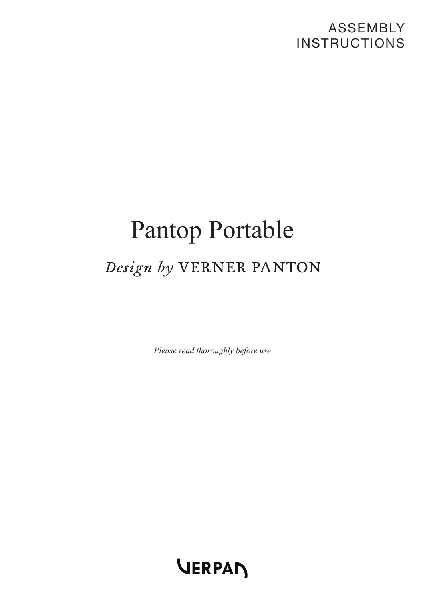## ASSEMBLY **INSTRUCTIONS**

# Pantop Portable Design by VERNER PANTON

*Please read thoroughly before use*

VERPAN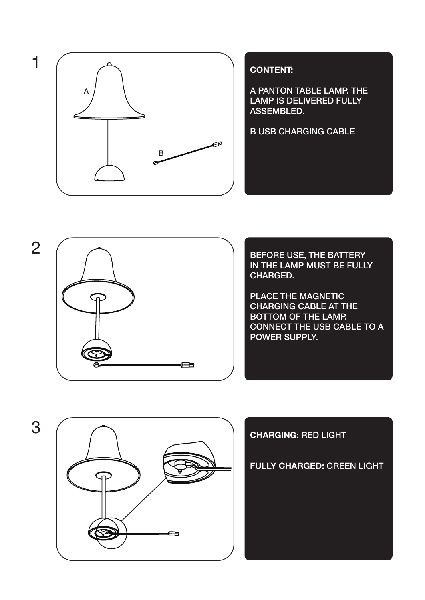

### **CONTENT:**

A PANTON TABLE LAMP. THE LAMP IS DELIVERED FULLY ASSEMBLED.

B USB CHARGING CABLE



BEFORE USE, THE BATTERY IN THE LAMP MUST BE FULLY CHARGED.

PLACE THE MAGNETIC CHARGING CABLE AT THE BOTTOM OF THE LAMP. CONNECT THE USB CABLE TO A POWER SUPPLY.



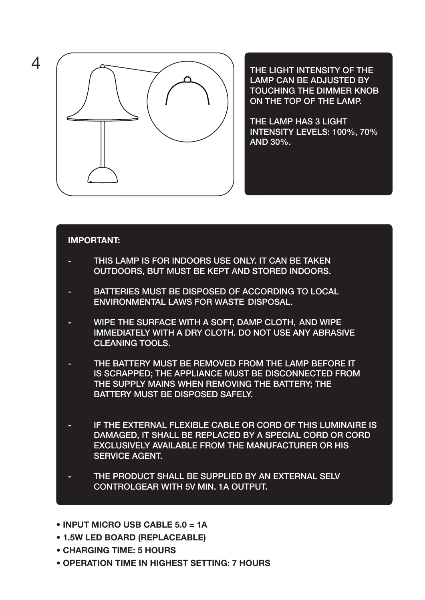

LAMP CAN BE ADJUSTED BY TOUCHING THE DIMMER KNOB ON THE TOP OF THE LAMP.

THE LAMP HAS 3 LIGHT INTENSITY LEVELS: 100%, 70% AND 30%.

#### **IMPORTANT:**

- THIS LAMP IS FOR INDOORS USE ONLY. IT CAN BE TAKEN OUTDOORS, BUT MUST BE KEPT AND STORED INDOORS.
- BATTERIES MUST BE DISPOSED OF ACCORDING TO LOCAL ENVIRONMENTAL LAWS FOR WASTE DISPOSAL.
- WIPE THE SURFACE WITH A SOFT, DAMP CLOTH, AND WIPE IMMEDIATELY WITH A DRY CLOTH. DO NOT USE ANY ABRASIVE CLEANING TOOLS.
- THE BATTERY MUST BE REMOVED FROM THE LAMP BEFORE IT IS SCRAPPED; THE APPLIANCE MUST BE DISCONNECTED FROM THE SUPPLY MAINS WHEN REMOVING THE BATTERY; THE BATTERY MUST BE DISPOSED SAFELY.
- IF THE EXTERNAL FLEXIBLE CABLE OR CORD OF THIS LUMINAIRE IS DAMAGED, IT SHALL BE REPLACED BY A SPECIAL CORD OR CORD EXCLUSIVELY AVAILABLE FROM THE MANUFACTURER OR HIS SERVICE AGENT.
- THE PRODUCT SHALL BE SUPPLIED BY AN EXTERNAL SELV CONTROLGEAR WITH 5V MIN. 1A OUTPUT.
- **• INPUT MICRO USB CABLE 5.0 = 1A**
- **• 1.5W LED BOARD (REPLACEABLE)**
- **• CHARGING TIME: 5 HOURS**
- **• OPERATION TIME IN HIGHEST SETTING: 7 HOURS**